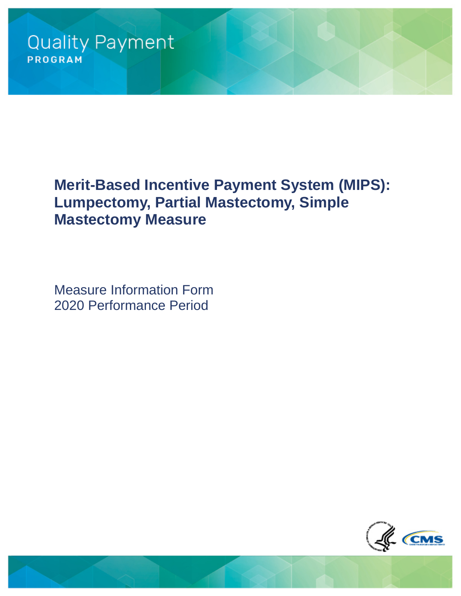# **Merit-Based Incentive Payment System (MIPS): Lumpectomy, Partial Mastectomy, Simple Mastectomy Measure**

Measure Information Form 2020 Performance Period

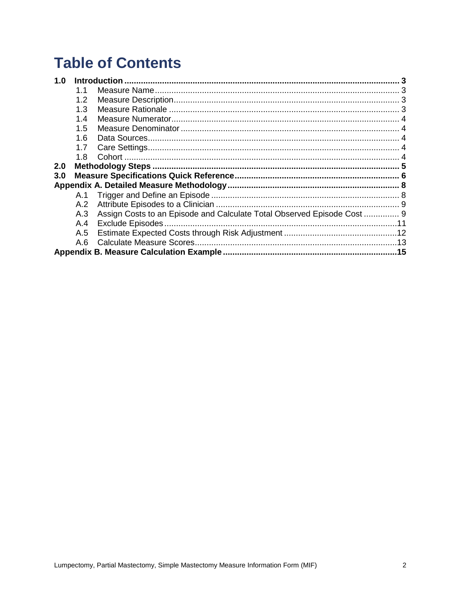# **Table of Contents**

| 1.0 |     |                                                                         |  |
|-----|-----|-------------------------------------------------------------------------|--|
|     | 1.1 |                                                                         |  |
|     | 1.2 |                                                                         |  |
|     | 1.3 |                                                                         |  |
|     | 1.4 |                                                                         |  |
|     | 1.5 |                                                                         |  |
|     | 1.6 |                                                                         |  |
|     | 1.7 |                                                                         |  |
|     | 1.8 |                                                                         |  |
| 2.0 |     |                                                                         |  |
| 3.0 |     |                                                                         |  |
|     |     |                                                                         |  |
|     |     |                                                                         |  |
|     | A.2 |                                                                         |  |
|     | A.3 | Assign Costs to an Episode and Calculate Total Observed Episode Cost  9 |  |
|     | A.4 |                                                                         |  |
|     | A.5 |                                                                         |  |
|     | A.6 |                                                                         |  |
|     |     |                                                                         |  |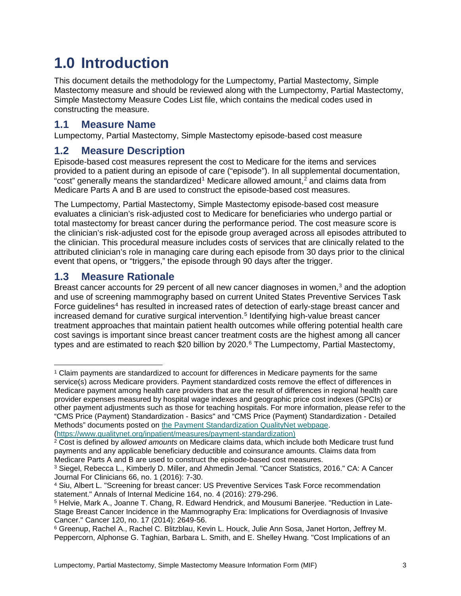# <span id="page-2-0"></span>**1.0 Introduction**

This document details the methodology for the Lumpectomy, Partial Mastectomy, Simple Mastectomy measure and should be reviewed along with the Lumpectomy, Partial Mastectomy, Simple Mastectomy Measure Codes List file, which contains the medical codes used in constructing the measure.

### <span id="page-2-1"></span>**1.1 Measure Name**

Lumpectomy, Partial Mastectomy, Simple Mastectomy episode-based cost measure

### <span id="page-2-2"></span>**1.2 Measure Description**

Episode-based cost measures represent the cost to Medicare for the items and services provided to a patient during an episode of care ("episode"). In all supplemental documentation, "cost" generally means the standardized<sup>[1](#page-2-4)</sup> Medicare allowed amount.<sup>[2](#page-2-5)</sup> and claims data from Medicare Parts A and B are used to construct the episode-based cost measures.

The Lumpectomy, Partial Mastectomy, Simple Mastectomy episode-based cost measure evaluates a clinician's risk-adjusted cost to Medicare for beneficiaries who undergo partial or total mastectomy for breast cancer during the performance period. The cost measure score is the clinician's risk-adjusted cost for the episode group averaged across all episodes attributed to the clinician. This procedural measure includes costs of services that are clinically related to the attributed clinician's role in managing care during each episode from 30 days prior to the clinical event that opens, or "triggers," the episode through 90 days after the trigger.

# <span id="page-2-3"></span>**1.3 Measure Rationale**

Breast cancer accounts for 29 percent of all new cancer diagnoses in women, $3$  and the adoption and use of screening mammography based on current United States Preventive Services Task Force guidelines<sup>[4](#page-2-7)</sup> has resulted in increased rates of detection of early-stage breast cancer and increased demand for curative surgical intervention.<sup>[5](#page-2-8)</sup> Identifying high-value breast cancer treatment approaches that maintain patient health outcomes while offering potential health care cost savings is important since breast cancer treatment costs are the highest among all cancer types and are estimated to reach \$20 billion by 2020.<sup>[6](#page-2-9)</sup> The Lumpectomy, Partial Mastectomy,

[\(https://www.qualitynet.org/inpatient/measures/payment-standardization\)](https://www.qualitynet.org/inpatient/measures/payment-standardization)

<span id="page-2-4"></span> $\ddot{\phantom{a}}$ <sup>1</sup> Claim payments are standardized to account for differences in Medicare payments for the same service(s) across Medicare providers. Payment standardized costs remove the effect of differences in Medicare payment among health care providers that are the result of differences in regional health care provider expenses measured by hospital wage indexes and geographic price cost indexes (GPCIs) or other payment adjustments such as those for teaching hospitals. For more information, please refer to the "CMS Price (Payment) Standardization - Basics" and "CMS Price (Payment) Standardization - Detailed Methods" documents posted on [the Payment Standardization QualityNet webpage.](https://www.qualitynet.org/inpatient/measures/payment-standardization)

<span id="page-2-5"></span><sup>2</sup> Cost is defined by *allowed amounts* on Medicare claims data, which include both Medicare trust fund payments and any applicable beneficiary deductible and coinsurance amounts. Claims data from Medicare Parts A and B are used to construct the episode-based cost measures.

<span id="page-2-6"></span><sup>3</sup> Siegel, Rebecca L., Kimberly D. Miller, and Ahmedin Jemal. "Cancer Statistics, 2016." CA: A Cancer Journal For Clinicians 66, no. 1 (2016): 7-30.

<span id="page-2-7"></span><sup>4</sup> Siu, Albert L. "Screening for breast cancer: US Preventive Services Task Force recommendation statement." Annals of Internal Medicine 164, no. 4 (2016): 279-296.

<span id="page-2-8"></span><sup>5</sup> Helvie, Mark A., Joanne T. Chang, R. Edward Hendrick, and Mousumi Banerjee. "Reduction in Late-Stage Breast Cancer Incidence in the Mammography Era: Implications for Overdiagnosis of Invasive Cancer." Cancer 120, no. 17 (2014): 2649-56.

<span id="page-2-9"></span><sup>6</sup> Greenup, Rachel A., Rachel C. Blitzblau, Kevin L. Houck, Julie Ann Sosa, Janet Horton, Jeffrey M. Peppercorn, Alphonse G. Taghian, Barbara L. Smith, and E. Shelley Hwang. "Cost Implications of an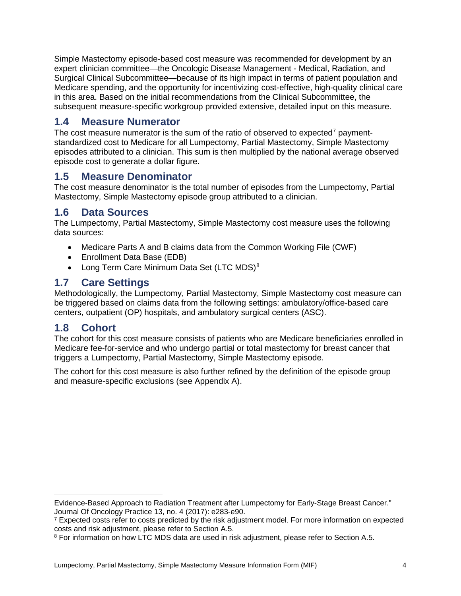Simple Mastectomy episode-based cost measure was recommended for development by an expert clinician committee—the Oncologic Disease Management - Medical, Radiation, and Surgical Clinical Subcommittee—because of its high impact in terms of patient population and Medicare spending, and the opportunity for incentivizing cost-effective, high-quality clinical care in this area. Based on the initial recommendations from the Clinical Subcommittee, the subsequent measure-specific workgroup provided extensive, detailed input on this measure.

### <span id="page-3-0"></span>**1.4 Measure Numerator**

The cost measure numerator is the sum of the ratio of observed to expected<sup>[7](#page-3-5)</sup> paymentstandardized cost to Medicare for all Lumpectomy, Partial Mastectomy, Simple Mastectomy episodes attributed to a clinician. This sum is then multiplied by the national average observed episode cost to generate a dollar figure.

### <span id="page-3-1"></span>**1.5 Measure Denominator**

The cost measure denominator is the total number of episodes from the Lumpectomy, Partial Mastectomy, Simple Mastectomy episode group attributed to a clinician.

### <span id="page-3-2"></span>**1.6 Data Sources**

The Lumpectomy, Partial Mastectomy, Simple Mastectomy cost measure uses the following data sources:

- Medicare Parts A and B claims data from the Common Working File (CWF)
- Enrollment Data Base (EDB)
- Long Term Care Minimum Data Set (LTC MDS)<sup>[8](#page-3-6)</sup>

## <span id="page-3-3"></span>**1.7 Care Settings**

Methodologically, the Lumpectomy, Partial Mastectomy, Simple Mastectomy cost measure can be triggered based on claims data from the following settings: ambulatory/office-based care centers, outpatient (OP) hospitals, and ambulatory surgical centers (ASC).

### <span id="page-3-4"></span>**1.8 Cohort**

The cohort for this cost measure consists of patients who are Medicare beneficiaries enrolled in Medicare fee-for-service and who undergo partial or total mastectomy for breast cancer that triggers a Lumpectomy, Partial Mastectomy, Simple Mastectomy episode.

The cohort for this cost measure is also further refined by the definition of the episode group and measure-specific exclusions (see [Appendix A\)](#page-7-0).

 $\ddot{\phantom{a}}$ Evidence-Based Approach to Radiation Treatment after Lumpectomy for Early-Stage Breast Cancer." Journal Of Oncology Practice 13, no. 4 (2017): e283-e90.

<span id="page-3-5"></span><sup>&</sup>lt;sup>7</sup> Expected costs refer to costs predicted by the risk adjustment model. For more information on expected costs and risk adjustment, please refer to Section A.5.

<span id="page-3-6"></span><sup>&</sup>lt;sup>8</sup> For information on how LTC MDS data are used in risk adjustment, please refer to Section [A.5.](#page-11-0)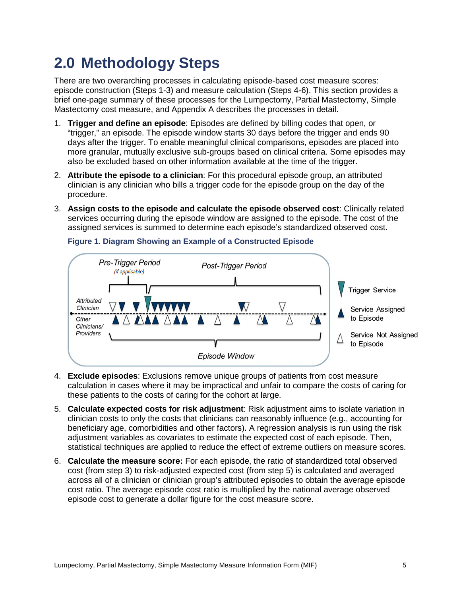# <span id="page-4-0"></span>**2.0 Methodology Steps**

There are two overarching processes in calculating episode-based cost measure scores: episode construction (Steps [1](#page-4-1)[-3\)](#page-4-2) and measure calculation (Steps [4](#page-4-3)[-6\)](#page-4-4). This section provides a brief one-page summary of these processes for the Lumpectomy, Partial Mastectomy, Simple Mastectomy cost measure, and [Appendix A](#page-7-0) describes the processes in detail.

- <span id="page-4-1"></span>1. **Trigger and define an episode**: Episodes are defined by billing codes that open, or "trigger," an episode. The episode window starts 30 days before the trigger and ends 90 days after the trigger. To enable meaningful clinical comparisons, episodes are placed into more granular, mutually exclusive sub-groups based on clinical criteria. Some episodes may also be excluded based on other information available at the time of the trigger.
- 2. **Attribute the episode to a clinician**: For this procedural episode group, an attributed clinician is any clinician who bills a trigger code for the episode group on the day of the procedure.
- <span id="page-4-2"></span>3. **Assign costs to the episode and calculate the episode observed cost**: Clinically related services occurring during the episode window are assigned to the episode. The cost of the assigned services is summed to determine each episode's standardized observed cost.



#### **Figure 1. Diagram Showing an Example of a Constructed Episode**

- <span id="page-4-3"></span>4. **Exclude episodes**: Exclusions remove unique groups of patients from cost measure calculation in cases where it may be impractical and unfair to compare the costs of caring for these patients to the costs of caring for the cohort at large.
- <span id="page-4-5"></span>5. **Calculate expected costs for risk adjustment**: Risk adjustment aims to isolate variation in clinician costs to only the costs that clinicians can reasonably influence (e.g., accounting for beneficiary age, comorbidities and other factors). A regression analysis is run using the risk adjustment variables as covariates to estimate the expected cost of each episode. Then, statistical techniques are applied to reduce the effect of extreme outliers on measure scores.
- <span id="page-4-4"></span>6. **Calculate the measure score:** For each episode, the ratio of standardized total observed cost (from step [3\)](#page-4-2) to risk-adjusted expected cost (from step [5\)](#page-4-5) is calculated and averaged across all of a clinician or clinician group's attributed episodes to obtain the average episode cost ratio. The average episode cost ratio is multiplied by the national average observed episode cost to generate a dollar figure for the cost measure score.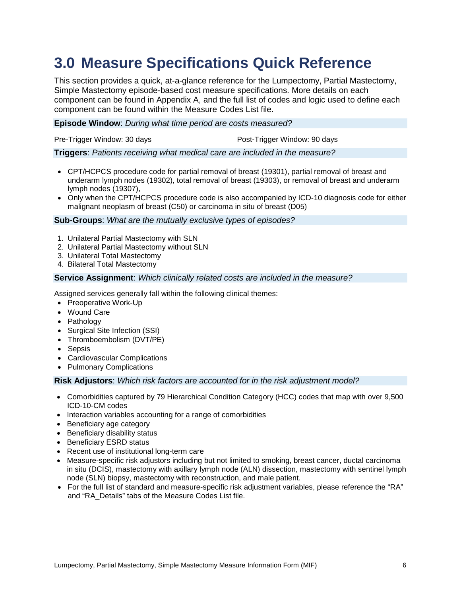# <span id="page-5-0"></span>**3.0 Measure Specifications Quick Reference**

This section provides a quick, at-a-glance reference for the Lumpectomy, Partial Mastectomy, Simple Mastectomy episode-based cost measure specifications. More details on each component can be found in [Appendix A,](#page-7-0) and the full list of codes and logic used to define each component can be found within the Measure Codes List file.

#### **Episode Window**: *During what time period are costs measured?*

Pre-Trigger Window: 30 days extends the Post-Trigger Window: 90 days

#### **Triggers**: *Patients receiving what medical care are included in the measure?*

- CPT/HCPCS procedure code for partial removal of breast (19301), partial removal of breast and underarm lymph nodes (19302), total removal of breast (19303), or removal of breast and underarm lymph nodes (19307),
- Only when the CPT/HCPCS procedure code is also accompanied by ICD-10 diagnosis code for either malignant neoplasm of breast (C50) or carcinoma in situ of breast (D05)

#### **Sub-Groups**: *What are the mutually exclusive types of episodes?*

- 1. Unilateral Partial Mastectomy with SLN
- 2. Unilateral Partial Mastectomy without SLN
- 3. Unilateral Total Mastectomy
- 4. Bilateral Total Mastectomy

#### **Service Assignment**: *Which clinically related costs are included in the measure?*

Assigned services generally fall within the following clinical themes:

- Preoperative Work-Up
- Wound Care
- Pathology
- Surgical Site Infection (SSI)
- Thromboembolism (DVT/PE)
- Sepsis
- Cardiovascular Complications
- Pulmonary Complications

#### **Risk Adjustors**: *Which risk factors are accounted for in the risk adjustment model?*

- Comorbidities captured by 79 Hierarchical Condition Category (HCC) codes that map with over 9,500 ICD-10-CM codes
- Interaction variables accounting for a range of comorbidities
- Beneficiary age category
- Beneficiary disability status
- Beneficiary ESRD status
- Recent use of institutional long-term care
- Measure-specific risk adjustors including but not limited to smoking, breast cancer, ductal carcinoma in situ (DCIS), mastectomy with axillary lymph node (ALN) dissection, mastectomy with sentinel lymph node (SLN) biopsy, mastectomy with reconstruction, and male patient.
- For the full list of standard and measure-specific risk adjustment variables, please reference the "RA" and "RA\_Details" tabs of the Measure Codes List file.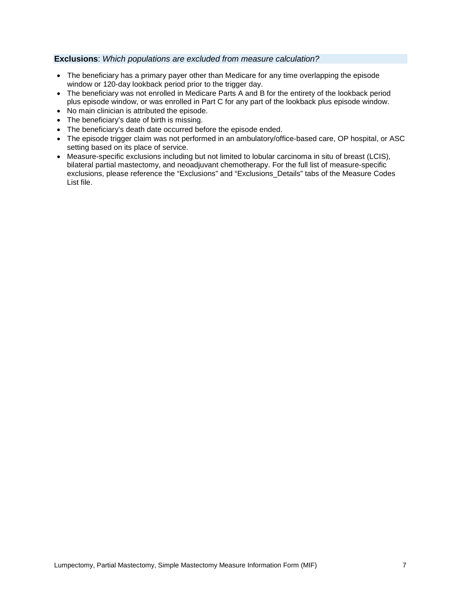#### **Exclusions**: *Which populations are excluded from measure calculation?*

- The beneficiary has a primary payer other than Medicare for any time overlapping the episode window or 120-day lookback period prior to the trigger day.
- The beneficiary was not enrolled in Medicare Parts A and B for the entirety of the lookback period plus episode window, or was enrolled in Part C for any part of the lookback plus episode window.
- No main clinician is attributed the episode.
- The beneficiary's date of birth is missing.
- The beneficiary's death date occurred before the episode ended.
- The episode trigger claim was not performed in an ambulatory/office-based care, OP hospital, or ASC setting based on its place of service.
- Measure-specific exclusions including but not limited to lobular carcinoma in situ of breast (LCIS), bilateral partial mastectomy, and neoadjuvant chemotherapy. For the full list of measure-specific exclusions, please reference the "Exclusions" and "Exclusions\_Details" tabs of the Measure Codes List file.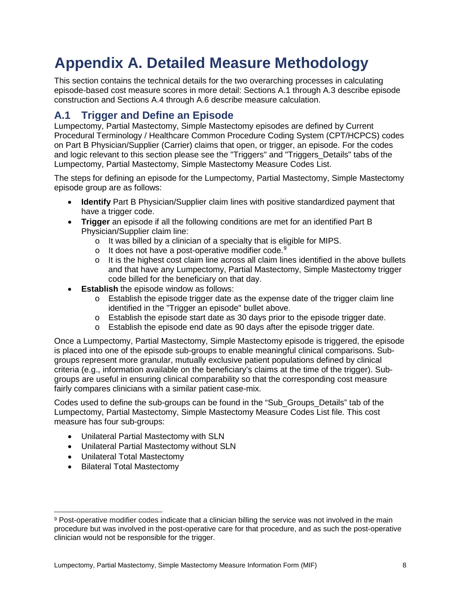# <span id="page-7-0"></span>**Appendix A. Detailed Measure Methodology**

This section contains the technical details for the two overarching processes in calculating episode-based cost measure scores in more detail: Sections [A.1](#page-7-1) through [A.3](#page-8-1) describe episode construction and Sections [A.4](#page-10-0) through [A.6](#page-12-0) describe measure calculation.

## <span id="page-7-1"></span>**A.1 Trigger and Define an Episode**

Lumpectomy, Partial Mastectomy, Simple Mastectomy episodes are defined by Current Procedural Terminology / Healthcare Common Procedure Coding System (CPT/HCPCS) codes on Part B Physician/Supplier (Carrier) claims that open, or trigger, an episode. For the codes and logic relevant to this section please see the "Triggers" and "Triggers\_Details" tabs of the Lumpectomy, Partial Mastectomy, Simple Mastectomy Measure Codes List.

The steps for defining an episode for the Lumpectomy, Partial Mastectomy, Simple Mastectomy episode group are as follows:

- **Identify** Part B Physician/Supplier claim lines with positive standardized payment that have a trigger code.
- **Trigger** an episode if all the following conditions are met for an identified Part B Physician/Supplier claim line:
	- o It was billed by a clinician of a specialty that is eligible for MIPS.
	- $\circ$  It does not have a post-operative modifier code.<sup>[9](#page-7-2)</sup>
	- $\circ$  It is the highest cost claim line across all claim lines identified in the above bullets and that have any Lumpectomy, Partial Mastectomy, Simple Mastectomy trigger code billed for the beneficiary on that day.
- **Establish** the episode window as follows:
	- $\circ$  Establish the episode trigger date as the expense date of the trigger claim line identified in the "Trigger an episode" bullet above.
	- $\circ$  Establish the episode start date as 30 days prior to the episode trigger date.
	- o Establish the episode end date as 90 days after the episode trigger date.

Once a Lumpectomy, Partial Mastectomy, Simple Mastectomy episode is triggered, the episode is placed into one of the episode sub-groups to enable meaningful clinical comparisons. Subgroups represent more granular, mutually exclusive patient populations defined by clinical criteria (e.g., information available on the beneficiary's claims at the time of the trigger). Subgroups are useful in ensuring clinical comparability so that the corresponding cost measure fairly compares clinicians with a similar patient case-mix.

Codes used to define the sub-groups can be found in the "Sub\_Groups\_Details" tab of the Lumpectomy, Partial Mastectomy, Simple Mastectomy Measure Codes List file. This cost measure has four sub-groups:

- Unilateral Partial Mastectomy with SLN
- Unilateral Partial Mastectomy without SLN
- Unilateral Total Mastectomy
- Bilateral Total Mastectomy

<span id="page-7-2"></span> $\overline{a}$ 9 Post-operative modifier codes indicate that a clinician billing the service was not involved in the main procedure but was involved in the post-operative care for that procedure, and as such the post-operative clinician would not be responsible for the trigger.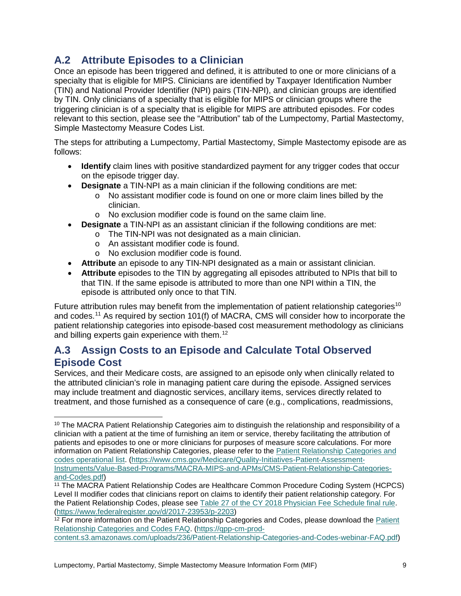## <span id="page-8-0"></span>**A.2 Attribute Episodes to a Clinician**

Once an episode has been triggered and defined, it is attributed to one or more clinicians of a specialty that is eligible for MIPS. Clinicians are identified by Taxpayer Identification Number (TIN) and National Provider Identifier (NPI) pairs (TIN-NPI), and clinician groups are identified by TIN. Only clinicians of a specialty that is eligible for MIPS or clinician groups where the triggering clinician is of a specialty that is eligible for MIPS are attributed episodes. For codes relevant to this section, please see the "Attribution" tab of the Lumpectomy, Partial Mastectomy, Simple Mastectomy Measure Codes List.

The steps for attributing a Lumpectomy, Partial Mastectomy, Simple Mastectomy episode are as follows:

- **Identify** claim lines with positive standardized payment for any trigger codes that occur on the episode trigger day.
- **Designate** a TIN-NPI as a main clinician if the following conditions are met:
	- $\overline{\circ}$  No assistant modifier code is found on one or more claim lines billed by the clinician.
	- o No exclusion modifier code is found on the same claim line.
- **Designate** a TIN-NPI as an assistant clinician if the following conditions are met:
	- o The TIN-NPI was not designated as a main clinician.
		- o An assistant modifier code is found.
		- o No exclusion modifier code is found.

 $\ddot{\phantom{a}}$ 

- **Attribute** an episode to any TIN-NPI designated as a main or assistant clinician.
- **Attribute** episodes to the TIN by aggregating all episodes attributed to NPIs that bill to that TIN. If the same episode is attributed to more than one NPI within a TIN, the episode is attributed only once to that TIN.

Future attribution rules may benefit from the implementation of patient relationship categories<sup>[10](#page-8-2)</sup> and codes.[11](#page-8-3) As required by section 101(f) of MACRA, CMS will consider how to incorporate the patient relationship categories into episode-based cost measurement methodology as clinicians and billing experts gain experience with them.<sup>[12](#page-8-4)</sup>

## <span id="page-8-1"></span>**A.3 Assign Costs to an Episode and Calculate Total Observed Episode Cost**

Services, and their Medicare costs, are assigned to an episode only when clinically related to the attributed clinician's role in managing patient care during the episode. Assigned services may include treatment and diagnostic services, ancillary items, services directly related to treatment, and those furnished as a consequence of care (e.g., complications, readmissions,

<span id="page-8-4"></span><sup>12</sup> For more information on the [Patient](https://qpp-cm-prod-content.s3.amazonaws.com/uploads/236/Patient-Relationship-Categories-and-Codes-webinar-FAQ.pdf) Relationship Categories and Codes, please download the Patient [Relationship Categories and Codes FAQ.](https://qpp-cm-prod-content.s3.amazonaws.com/uploads/236/Patient-Relationship-Categories-and-Codes-webinar-FAQ.pdf) [\(https://qpp-cm-prod-](https://qpp-cm-prod-content.s3.amazonaws.com/uploads/236/Patient-Relationship-Categories-and-Codes-webinar-FAQ.pdf)

[content.s3.amazonaws.com/uploads/236/Patient-Relationship-Categories-and-Codes-webinar-FAQ.pdf\)](https://qpp-cm-prod-content.s3.amazonaws.com/uploads/236/Patient-Relationship-Categories-and-Codes-webinar-FAQ.pdf)

<span id="page-8-2"></span><sup>10</sup> The MACRA Patient Relationship Categories aim to distinguish the relationship and responsibility of a clinician with a patient at the time of furnishing an item or service, thereby facilitating the attribution of patients and episodes to one or more clinicians for purposes of measure score calculations. For more information on Patient Relationship Categories, please refer to the [Patient Relationship Categories and](https://www.cms.gov/Medicare/Quality-Initiatives-Patient-Assessment-Instruments/Value-Based-Programs/MACRA-MIPS-and-APMs/CMS-Patient-Relationship-Categories-and-Codes.pdf)  [codes operational list.](https://www.cms.gov/Medicare/Quality-Initiatives-Patient-Assessment-Instruments/Value-Based-Programs/MACRA-MIPS-and-APMs/CMS-Patient-Relationship-Categories-and-Codes.pdf) [\(https://www.cms.gov/Medicare/Quality-Initiatives-Patient-Assessment-](https://www.cms.gov/Medicare/Quality-Initiatives-Patient-Assessment-Instruments/Value-Based-Programs/MACRA-MIPS-and-APMs/CMS-Patient-Relationship-Categories-and-Codes.pdf)[Instruments/Value-Based-Programs/MACRA-MIPS-and-APMs/CMS-Patient-Relationship-Categories](https://www.cms.gov/Medicare/Quality-Initiatives-Patient-Assessment-Instruments/Value-Based-Programs/MACRA-MIPS-and-APMs/CMS-Patient-Relationship-Categories-and-Codes.pdf)[and-Codes.pdf\)](https://www.cms.gov/Medicare/Quality-Initiatives-Patient-Assessment-Instruments/Value-Based-Programs/MACRA-MIPS-and-APMs/CMS-Patient-Relationship-Categories-and-Codes.pdf)

<span id="page-8-3"></span><sup>11</sup> The MACRA Patient Relationship Codes are Healthcare Common Procedure Coding System (HCPCS) Level II modifier codes that clinicians report on claims to identify their patient relationship category. For the Patient Relationship Codes, please see [Table 27 of the CY 2018 Physician Fee Schedule final rule.](https://www.federalregister.gov/d/2017-23953/p-2203) [\(https://www.federalregister.gov/d/2017-23953/p-2203\)](https://www.federalregister.gov/d/2017-23953/p-2203)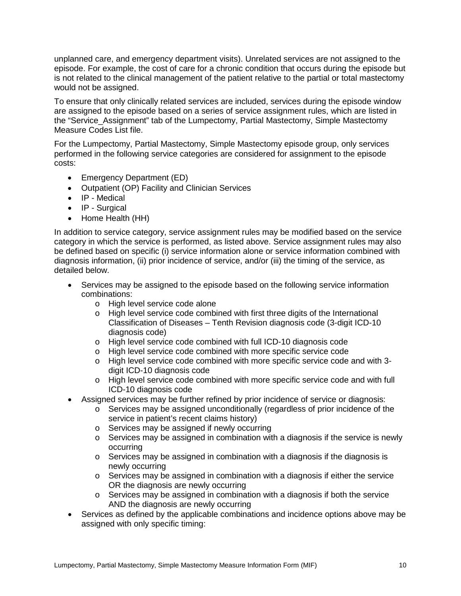unplanned care, and emergency department visits). Unrelated services are not assigned to the episode. For example, the cost of care for a chronic condition that occurs during the episode but is not related to the clinical management of the patient relative to the partial or total mastectomy would not be assigned.

To ensure that only clinically related services are included, services during the episode window are assigned to the episode based on a series of service assignment rules, which are listed in the "Service\_Assignment" tab of the Lumpectomy, Partial Mastectomy, Simple Mastectomy Measure Codes List file.

For the Lumpectomy, Partial Mastectomy, Simple Mastectomy episode group, only services performed in the following service categories are considered for assignment to the episode costs:

- Emergency Department (ED)
- Outpatient (OP) Facility and Clinician Services
- IP Medical
- IP Surgical
- Home Health (HH)

In addition to service category, service assignment rules may be modified based on the service category in which the service is performed, as listed above. Service assignment rules may also be defined based on specific (i) service information alone or service information combined with diagnosis information, (ii) prior incidence of service, and/or (iii) the timing of the service, as detailed below.

- Services may be assigned to the episode based on the following service information combinations:
	- o High level service code alone
	- o High level service code combined with first three digits of the International Classification of Diseases – Tenth Revision diagnosis code (3-digit ICD-10 diagnosis code)
	- o High level service code combined with full ICD-10 diagnosis code
	- o High level service code combined with more specific service code
	- o High level service code combined with more specific service code and with 3 digit ICD-10 diagnosis code
	- o High level service code combined with more specific service code and with full ICD-10 diagnosis code
- Assigned services may be further refined by prior incidence of service or diagnosis:
	- o Services may be assigned unconditionally (regardless of prior incidence of the service in patient's recent claims history)
	- o Services may be assigned if newly occurring
	- o Services may be assigned in combination with a diagnosis if the service is newly occurring
	- $\circ$  Services may be assigned in combination with a diagnosis if the diagnosis is newly occurring
	- o Services may be assigned in combination with a diagnosis if either the service OR the diagnosis are newly occurring
	- $\circ$  Services may be assigned in combination with a diagnosis if both the service AND the diagnosis are newly occurring
- Services as defined by the applicable combinations and incidence options above may be assigned with only specific timing: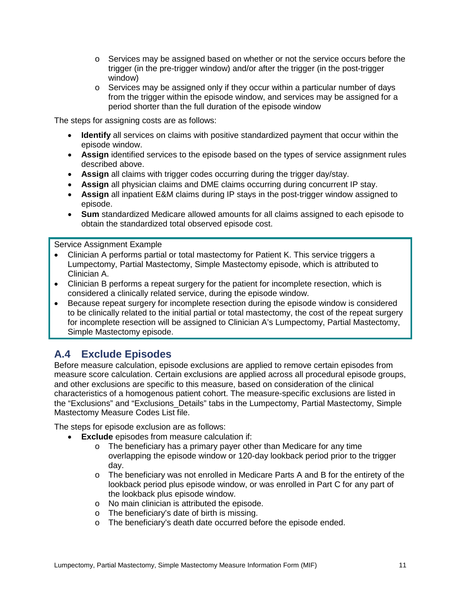- o Services may be assigned based on whether or not the service occurs before the trigger (in the pre-trigger window) and/or after the trigger (in the post-trigger window)
- $\circ$  Services may be assigned only if they occur within a particular number of days from the trigger within the episode window, and services may be assigned for a period shorter than the full duration of the episode window

The steps for assigning costs are as follows:

- **Identify** all services on claims with positive standardized payment that occur within the episode window.
- **Assign** identified services to the episode based on the types of service assignment rules described above.
- **Assign** all claims with trigger codes occurring during the trigger day/stay.
- **Assign** all physician claims and DME claims occurring during concurrent IP stay.
- **Assign** all inpatient E&M claims during IP stays in the post-trigger window assigned to episode.
- **Sum** standardized Medicare allowed amounts for all claims assigned to each episode to obtain the standardized total observed episode cost.

Service Assignment Example

- Clinician A performs partial or total mastectomy for Patient K. This service triggers a Lumpectomy, Partial Mastectomy, Simple Mastectomy episode, which is attributed to Clinician A.
- Clinician B performs a repeat surgery for the patient for incomplete resection, which is considered a clinically related service, during the episode window.
- Because repeat surgery for incomplete resection during the episode window is considered to be clinically related to the initial partial or total mastectomy, the cost of the repeat surgery for incomplete resection will be assigned to Clinician A's Lumpectomy, Partial Mastectomy, Simple Mastectomy episode.

## <span id="page-10-0"></span>**A.4 Exclude Episodes**

Before measure calculation, episode exclusions are applied to remove certain episodes from measure score calculation. Certain exclusions are applied across all procedural episode groups, and other exclusions are specific to this measure, based on consideration of the clinical characteristics of a homogenous patient cohort. The measure-specific exclusions are listed in the "Exclusions" and "Exclusions\_Details" tabs in the Lumpectomy, Partial Mastectomy, Simple Mastectomy Measure Codes List file.

The steps for episode exclusion are as follows:

- **Exclude** episodes from measure calculation if:
	- o The beneficiary has a primary payer other than Medicare for any time overlapping the episode window or 120-day lookback period prior to the trigger day.
	- o The beneficiary was not enrolled in Medicare Parts A and B for the entirety of the lookback period plus episode window, or was enrolled in Part C for any part of the lookback plus episode window.
	- o No main clinician is attributed the episode.
	- o The beneficiary's date of birth is missing.
	- o The beneficiary's death date occurred before the episode ended.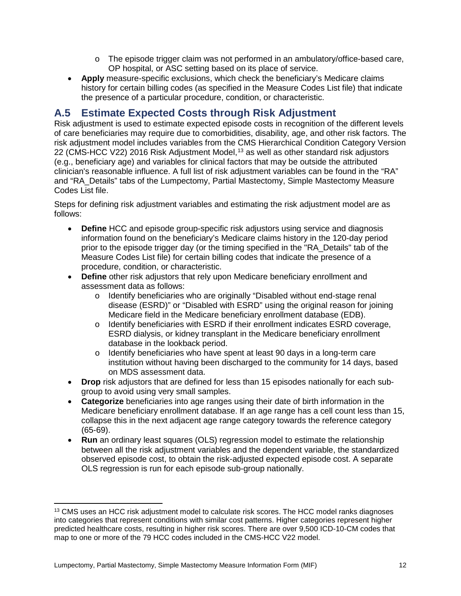- $\circ$  The episode trigger claim was not performed in an ambulatory/office-based care, OP hospital, or ASC setting based on its place of service.
- **Apply** measure-specific exclusions, which check the beneficiary's Medicare claims history for certain billing codes (as specified in the Measure Codes List file) that indicate the presence of a particular procedure, condition, or characteristic.

## <span id="page-11-0"></span>**A.5 Estimate Expected Costs through Risk Adjustment**

Risk adjustment is used to estimate expected episode costs in recognition of the different levels of care beneficiaries may require due to comorbidities, disability, age, and other risk factors. The risk adjustment model includes variables from the CMS Hierarchical Condition Category Version 22 (CMS-HCC V22) 2016 Risk Adjustment Model, [13](#page-11-1) as well as other standard risk adjustors (e.g., beneficiary age) and variables for clinical factors that may be outside the attributed clinician's reasonable influence. A full list of risk adjustment variables can be found in the "RA" and "RA\_Details" tabs of the Lumpectomy, Partial Mastectomy, Simple Mastectomy Measure Codes List file.

Steps for defining risk adjustment variables and estimating the risk adjustment model are as follows:

- **Define** HCC and episode group-specific risk adjustors using service and diagnosis information found on the beneficiary's Medicare claims history in the 120-day period prior to the episode trigger day (or the timing specified in the "RA\_Details" tab of the Measure Codes List file) for certain billing codes that indicate the presence of a procedure, condition, or characteristic.
- **Define** other risk adjustors that rely upon Medicare beneficiary enrollment and assessment data as follows:
	- o Identify beneficiaries who are originally "Disabled without end-stage renal disease (ESRD)" or "Disabled with ESRD" using the original reason for joining Medicare field in the Medicare beneficiary enrollment database (EDB).
	- o Identify beneficiaries with ESRD if their enrollment indicates ESRD coverage, ESRD dialysis, or kidney transplant in the Medicare beneficiary enrollment database in the lookback period.
	- o Identify beneficiaries who have spent at least 90 days in a long-term care institution without having been discharged to the community for 14 days, based on MDS assessment data.
- **Drop** risk adjustors that are defined for less than 15 episodes nationally for each subgroup to avoid using very small samples.
- **Categorize** beneficiaries into age ranges using their date of birth information in the Medicare beneficiary enrollment database. If an age range has a cell count less than 15, collapse this in the next adjacent age range category towards the reference category (65-69).
- **Run** an ordinary least squares (OLS) regression model to estimate the relationship between all the risk adjustment variables and the dependent variable, the standardized observed episode cost, to obtain the risk-adjusted expected episode cost. A separate OLS regression is run for each episode sub-group nationally.

<span id="page-11-1"></span> $\overline{a}$ <sup>13</sup> CMS uses an HCC risk adjustment model to calculate risk scores. The HCC model ranks diagnoses into categories that represent conditions with similar cost patterns. Higher categories represent higher predicted healthcare costs, resulting in higher risk scores. There are over 9,500 ICD-10-CM codes that map to one or more of the 79 HCC codes included in the CMS-HCC V22 model.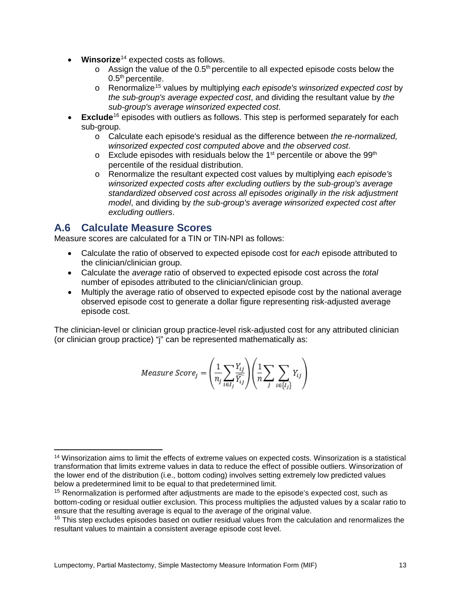- **Winsorize**[14](#page-12-1) expected costs as follows.
	- $\circ$  Assign the value of the 0.5<sup>th</sup> percentile to all expected episode costs below the 0.5<sup>th</sup> percentile.
	- o Renormalize[15](#page-12-2) values by multiplying *each episode's winsorized expected cost* by *the sub-group's average expected cost*, and dividing the resultant value by *the sub-group's average winsorized expected cost*.
- **Exclude**<sup>[16](#page-12-3)</sup> episodes with outliers as follows. This step is performed separately for each sub-group.
	- o Calculate each episode's residual as the difference between *the re-normalized, winsorized expected cost computed above* and *the observed cost*.
	- $\circ$  Exclude episodes with residuals below the 1<sup>st</sup> percentile or above the 99<sup>th</sup> percentile of the residual distribution.
	- o Renormalize the resultant expected cost values by multiplying *each episode's winsorized expected costs after excluding outliers* by *the sub-group's average standardized observed cost across all episodes originally in the risk adjustment model*, and dividing by *the sub-group's average winsorized expected cost after excluding outliers*.

### <span id="page-12-0"></span>**A.6 Calculate Measure Scores**

Measure scores are calculated for a TIN or TIN-NPI as follows:

- Calculate the ratio of observed to expected episode cost for *each* episode attributed to the clinician/clinician group.
- Calculate the *average* ratio of observed to expected episode cost across the *total* number of episodes attributed to the clinician/clinician group.
- Multiply the average ratio of observed to expected episode cost by the national average observed episode cost to generate a dollar figure representing risk-adjusted average episode cost.

The clinician-level or clinician group practice-level risk-adjusted cost for any attributed clinician (or clinician group practice) "j" can be represented mathematically as:

$$
Measure\ Score_j = \left(\frac{1}{n_j}\sum_{i\in I_j}\frac{Y_{ij}}{\widehat{Y_{ij}}}\right)\left(\frac{1}{n}\sum_j\sum_{i\in\{I_j\}}Y_{ij}\right)
$$

<span id="page-12-1"></span> $\overline{a}$ <sup>14</sup> Winsorization aims to limit the effects of extreme values on expected costs. Winsorization is a statistical transformation that limits extreme values in data to reduce the effect of possible outliers. Winsorization of the lower end of the distribution (i.e., bottom coding) involves setting extremely low predicted values below a predetermined limit to be equal to that predetermined limit.

<span id="page-12-2"></span><sup>&</sup>lt;sup>15</sup> Renormalization is performed after adjustments are made to the episode's expected cost, such as bottom-coding or residual outlier exclusion. This process multiplies the adjusted values by a scalar ratio to ensure that the resulting average is equal to the average of the original value.

<span id="page-12-3"></span><sup>&</sup>lt;sup>16</sup> This step excludes episodes based on outlier residual values from the calculation and renormalizes the resultant values to maintain a consistent average episode cost level.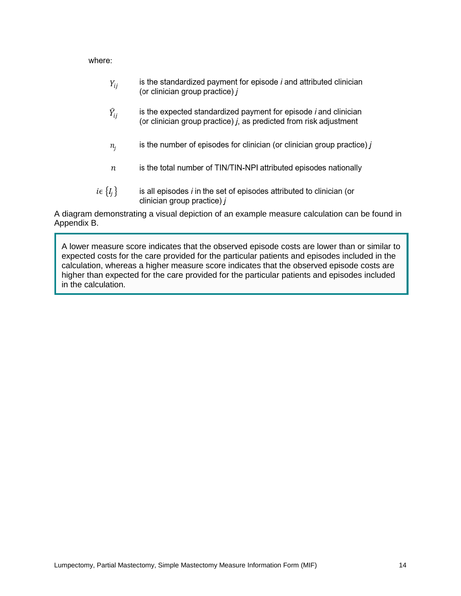where:

- is the standardized payment for episode  $i$  and attributed clinician  $Y_{ij}$ (or clinician group practice)  $j$
- $\widehat{Y}_{ii}$ is the expected standardized payment for episode *i* and clinician (or clinician group practice) *j*, as predicted from risk adjustment
- is the number of episodes for clinician (or clinician group practice)  $j$  $n_i$
- is the total number of TIN/TIN-NPI attributed episodes nationally  $\boldsymbol{n}$
- $i \in \{I_i\}$ is all episodes i in the set of episodes attributed to clinician (or clinician group practice) i

A diagram demonstrating a visual depiction of an example measure calculation can be found in Appendix B.

A lower measure score indicates that the observed episode costs are lower than or similar to expected costs for the care provided for the particular patients and episodes included in the calculation, whereas a higher measure score indicates that the observed episode costs are higher than expected for the care provided for the particular patients and episodes included in the calculation.